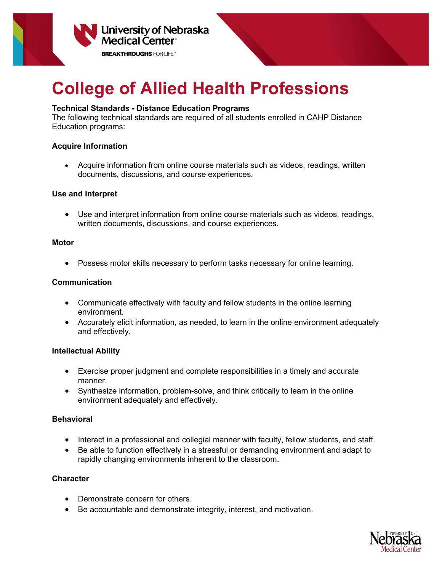

# **College of Allied Health Professions**

## **Technical Standards - Distance Education Programs**

The following technical standards are required of all students enrolled in CAHP Distance Education programs:

## **Acquire Information**

• Acquire information from online course materials such as videos, readings, written documents, discussions, and course experiences.

## **Use and Interpret**

• Use and interpret information from online course materials such as videos, readings, written documents, discussions, and course experiences.

#### **Motor**

• Possess motor skills necessary to perform tasks necessary for online learning.

## **Communication**

- Communicate effectively with faculty and fellow students in the online learning environment.
- Accurately elicit information, as needed, to learn in the online environment adequately and effectively.

#### **Intellectual Ability**

- Exercise proper judgment and complete responsibilities in a timely and accurate manner.
- Synthesize information, problem-solve, and think critically to learn in the online environment adequately and effectively.

# **Behavioral**

- Interact in a professional and collegial manner with faculty, fellow students, and staff.
- Be able to function effectively in a stressful or demanding environment and adapt to rapidly changing environments inherent to the classroom.

# **Character**

- Demonstrate concern for others.
- Be accountable and demonstrate integrity, interest, and motivation.